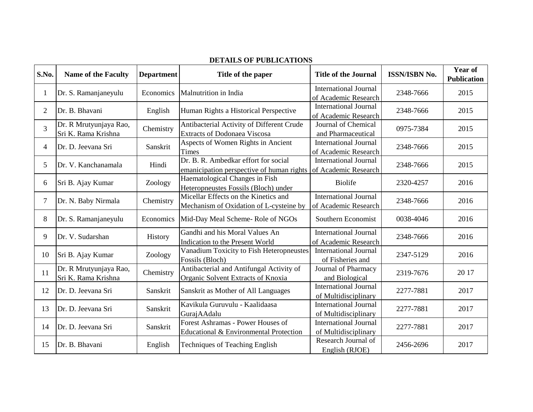| S.No.          | <b>Name of the Faculty</b>                    | <b>Department</b> | Title of the paper                                                                | <b>Title of the Journal</b>                          | <b>ISSN/ISBN No.</b> | Year of<br><b>Publication</b> |
|----------------|-----------------------------------------------|-------------------|-----------------------------------------------------------------------------------|------------------------------------------------------|----------------------|-------------------------------|
| $\mathbf{1}$   | Dr. S. Ramanjaneyulu                          | Economics         | Malnutrition in India                                                             | <b>International Journal</b><br>of Academic Research | 2348-7666            | 2015                          |
| $\overline{2}$ | Dr. B. Bhavani                                | English           | Human Rights a Historical Perspective                                             | <b>International Journal</b><br>of Academic Research | 2348-7666            | 2015                          |
| 3              | Dr. R Mrutyunjaya Rao,<br>Sri K. Rama Krishna | Chemistry         | Antibacterial Activity of Different Crude<br><b>Extracts of Dodonaea Viscosa</b>  | Journal of Chemical<br>and Pharmaceutical            | 0975-7384            | 2015                          |
| $\overline{4}$ | Dr. D. Jeevana Sri                            | Sanskrit          | Aspects of Women Rights in Ancient<br><b>Times</b>                                | <b>International Journal</b><br>of Academic Research | 2348-7666            | 2015                          |
| 5              | Dr. V. Kanchanamala                           | Hindi             | Dr. B. R. Ambedkar effort for social<br>emanicipation perspective of human rights | <b>International Journal</b><br>of Academic Research | 2348-7666            | 2015                          |
| 6              | Sri B. Ajay Kumar                             | Zoology           | Haematological Changes in Fish<br>Heteropneustes Fossils (Bloch) under            | <b>Biolife</b>                                       | 2320-4257            | 2016                          |
| $\tau$         | Dr. N. Baby Nirmala                           | Chemistry         | Micellar Effects on the Kinetics and<br>Mechanism of Oxidation of L-cysteine by   | <b>International Journal</b><br>of Academic Research | 2348-7666            | 2016                          |
| 8              | Dr. S. Ramanjaneyulu                          | Economics         | Mid-Day Meal Scheme-Role of NGOs                                                  | Southern Economist                                   | 0038-4046            | 2016                          |
| 9              | Dr. V. Sudarshan                              | History           | Gandhi and his Moral Values An<br>Indication to the Present World                 | <b>International Journal</b><br>of Academic Research | 2348-7666            | 2016                          |
| 10             | Sri B. Ajay Kumar                             | Zoology           | Vanadium Toxicity to Fish Heteropneustes<br>Fossils (Bloch)                       | <b>International Journal</b><br>of Fisheries and     | 2347-5129            | 2016                          |
| 11             | Dr. R Mrutyunjaya Rao,<br>Sri K. Rama Krishna | Chemistry         | Antibacterial and Antifungal Activity of<br>Organic Solvent Extracts of Knoxia    | Journal of Pharmacy<br>and Biological                | 2319-7676            | 20 17                         |
| 12             | Dr. D. Jeevana Sri                            | Sanskrit          | Sanskrit as Mother of All Languages                                               | <b>International Journal</b><br>of Multidisciplinary | 2277-7881            | 2017                          |
| 13             | Dr. D. Jeevana Sri                            | Sanskrit          | Kavikula Guruvulu - Kaalidaasa<br>GurajAAdalu                                     | <b>International Journal</b><br>of Multidisciplinary | 2277-7881            | 2017                          |
| 14             | Dr. D. Jeevana Sri                            | Sanskrit          | Forest Ashramas - Power Houses of<br>Educational & Environmental Protection       | <b>International Journal</b><br>of Multidisciplinary | 2277-7881            | 2017                          |
| 15             | Dr. B. Bhavani                                | English           | <b>Techniques of Teaching English</b>                                             | Research Journal of<br>English (RJOE)                | 2456-2696            | 2017                          |

## **DETAILS OF PUBLICATIONS**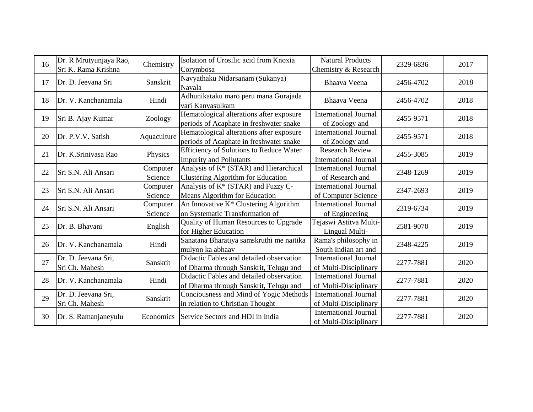| 16 | Dr. R Mrutyunjaya Rao,<br>Sri K. Rama Krishna | Chemistry           | Isolation of Urosilic acid from Knoxia<br>Corymbosa                                 | <b>Natural Products</b><br>Chemistry & Research        | 2329-6836 | 2017 |
|----|-----------------------------------------------|---------------------|-------------------------------------------------------------------------------------|--------------------------------------------------------|-----------|------|
| 17 | Dr. D. Jeevana Sri                            | Sanskrit            | Navyathaku Nidarsanam (Sukanya)<br>Navala                                           | Bhaava Veena                                           | 2456-4702 | 2018 |
| 18 | Dr. V. Kanchanamala                           | Hindi               | Adhunikataku maro peru mana Gurajada<br>vari Kanyasulkam                            | Bhaava Veena                                           | 2456-4702 | 2018 |
| 19 | Sri B. Ajay Kumar                             | Zoology             | Hematological alterations after exposure<br>periods of Acaphate in freshwater snake | <b>International Journal</b><br>of Zoology and         | 2455-9571 | 2018 |
| 20 | Dr. P.V.V. Satish                             | Aquaculture         | Hematological alterations after exposure<br>periods of Acaphate in freshwater snake | <b>International Journal</b><br>of Zoology and         | 2455-9571 | 2018 |
| 21 | Dr. K.Srinivasa Rao                           | Physics             | Efficiency of Solutions to Reduce Water<br><b>Impurity and Pollutants</b>           | <b>Research Review</b><br><b>International Journal</b> | 2455-3085 | 2019 |
| 22 | Sri S.N. Ali Ansari                           | Computer<br>Science | Analysis of K* (STAR) and Hierarchical<br><b>Clustering Algorithm for Education</b> | <b>International Journal</b><br>of Research and        | 2348-1269 | 2019 |
| 23 | Sri S.N. Ali Ansari                           | Computer<br>Science | Analysis of K* (STAR) and Fuzzy C-<br>Means Algorithm for Education                 | <b>International Journal</b><br>of Computer Science    | 2347-2693 | 2019 |
| 24 | Sri S.N. Ali Ansari                           | Computer<br>Science | An Innovative K* Clustering Algorithm<br>on Systematic Transformation of            | <b>International Journal</b><br>of Engineering         | 2319-6734 | 2019 |
| 25 | Dr. B. Bhavani                                | English             | Quality of Human Resources to Upgrade<br>for Higher Education                       | Tejaswi Astitva Multi-<br>Lingual Multi-               | 2581-9070 | 2019 |
| 26 | Dr. V. Kanchanamala                           | Hindi               | Sanatana Bharatiya samskruthi me naitika<br>mulyon ka abhaav                        | Rama's philosophy in<br>South Indian art and           | 2348-4225 | 2019 |
| 27 | Dr. D. Jeevana Sri,<br>Sri Ch. Mahesh         | Sanskrit            | Didactic Fables and detailed observation<br>of Dharma through Sanskrit, Telugu and  | <b>International Journal</b><br>of Multi-Disciplinary  | 2277-7881 | 2020 |
| 28 | Dr. V. Kanchanamala                           | Hindi               | Didactic Fables and detailed observation<br>of Dharma through Sanskrit, Telugu and  | <b>International Journal</b><br>of Multi-Disciplinary  | 2277-7881 | 2020 |
| 29 | Dr. D. Jeevana Sri,<br>Sri Ch. Mahesh         | Sanskrit            | Conciousness and Mind of Yogic Methods<br>in relation to Christian Thought          | <b>International Journal</b><br>of Multi-Disciplinary  | 2277-7881 | 2020 |
| 30 | Dr. S. Ramanjaneyulu                          | Economics           | Service Sectors and HDI in India                                                    | <b>International Journal</b><br>of Multi-Disciplinary  | 2277-7881 | 2020 |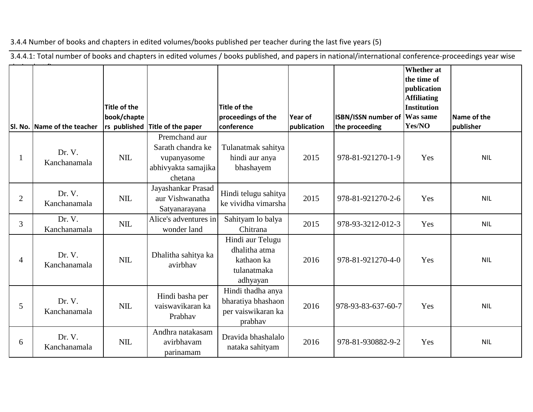3.4.4 Number of books and chapters in edited volumes/books published per teacher during the last five years (5)

3.4.4.1: Total number of books and chapters in edited volumes / books published, and papers in national/international conference-proceedings year wise

|                | SI. No. Name of the teacher | Title of the<br>book/chapte | rs published Title of the paper                                                     | <b>Title of the</b><br>proceedings of the<br>conference                    | Year of<br>publication | ISBN/ISSN number of<br>the proceeding | <b>Whether</b> at<br>the time of<br>publication<br><b>Affiliating</b><br><b>Institution</b><br><b>Was same</b><br>Yes/NO | Name of the<br>publisher |
|----------------|-----------------------------|-----------------------------|-------------------------------------------------------------------------------------|----------------------------------------------------------------------------|------------------------|---------------------------------------|--------------------------------------------------------------------------------------------------------------------------|--------------------------|
|                | Dr. V.<br>Kanchanamala      | <b>NIL</b>                  | Premchand aur<br>Sarath chandra ke<br>vupanyasome<br>abhivyakta samajika<br>chetana | Tulanatmak sahitya<br>hindi aur anya<br>bhashayem                          | 2015                   | 978-81-921270-1-9                     | Yes                                                                                                                      | <b>NIL</b>               |
| $\overline{2}$ | Dr. V.<br>Kanchanamala      | <b>NIL</b>                  | Jayashankar Prasad<br>aur Vishwanatha<br>Satyanarayana                              | Hindi telugu sahitya<br>ke vividha vimarsha                                | 2015                   | 978-81-921270-2-6                     | Yes                                                                                                                      | <b>NIL</b>               |
| $\overline{3}$ | Dr. V.<br>Kanchanamala      | <b>NIL</b>                  | Alice's adventures in<br>wonder land                                                | Sahityam lo balya<br>Chitrana                                              | 2015                   | 978-93-3212-012-3                     | Yes                                                                                                                      | <b>NIL</b>               |
| 4              | Dr. V.<br>Kanchanamala      | <b>NIL</b>                  | Dhalitha sahitya ka<br>avirbhav                                                     | Hindi aur Telugu<br>dhalitha atma<br>kathaon ka<br>tulanatmaka<br>adhyayan | 2016                   | 978-81-921270-4-0                     | Yes                                                                                                                      | <b>NIL</b>               |
| 5              | Dr. V.<br>Kanchanamala      | <b>NIL</b>                  | Hindi basha per<br>vaiswavikaran ka<br>Prabhav                                      | Hindi thadha anya<br>bharatiya bhashaon<br>per vaiswikaran ka<br>prabhav   | 2016                   | 978-93-83-637-60-7                    | Yes                                                                                                                      | <b>NIL</b>               |
| 6              | Dr. V.<br>Kanchanamala      | $NIL$                       | Andhra natakasam<br>avirbhavam<br>parinamam                                         | Dravida bhashalalo<br>nataka sahityam                                      | 2016                   | 978-81-930882-9-2                     | Yes                                                                                                                      | <b>NIL</b>               |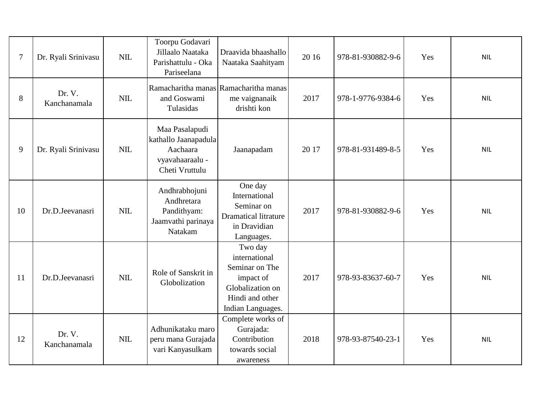| $\overline{7}$ | Dr. Ryali Srinivasu    | NIL        | Toorpu Godavari<br>Jillaalo Naataka<br>Parishattulu - Oka<br>Pariseelana                     | Draavida bhaashallo<br>Naataka Saahityam                                                                            | 20 16 | 978-81-930882-9-6 | Yes | <b>NIL</b> |
|----------------|------------------------|------------|----------------------------------------------------------------------------------------------|---------------------------------------------------------------------------------------------------------------------|-------|-------------------|-----|------------|
| 8              | Dr. V.<br>Kanchanamala | <b>NIL</b> | and Goswami<br>Tulasidas                                                                     | Ramacharitha manas Ramacharitha manas<br>me vaignanaik<br>drishti kon                                               | 2017  | 978-1-9776-9384-6 | Yes | <b>NIL</b> |
| 9              | Dr. Ryali Srinivasu    | <b>NIL</b> | Maa Pasalapudi<br>kathallo Jaanapadula<br>Aachaara<br>vyavahaaraalu - $\,$<br>Cheti Vruttulu | Jaanapadam                                                                                                          | 20 17 | 978-81-931489-8-5 | Yes | <b>NIL</b> |
| 10             | Dr.D.Jeevanasri        | NIL        | Andhrabhojuni<br>Andhretara<br>Pandithyam:<br>Jaamvathi parinaya<br>Natakam                  | One day<br>International<br>Seminar on<br><b>Dramatical litrature</b><br>in Dravidian<br>Languages.                 | 2017  | 978-81-930882-9-6 | Yes | <b>NIL</b> |
| 11             | Dr.D.Jeevanasri        | NIL        | Role of Sanskrit in<br>Globolization                                                         | Two day<br>international<br>Seminar on The<br>impact of<br>Globalization on<br>Hindi and other<br>Indian Languages. | 2017  | 978-93-83637-60-7 | Yes | <b>NIL</b> |
| 12             | Dr. V.<br>Kanchanamala | $NIL$      | Adhunikataku maro<br>peru mana Gurajada<br>vari Kanyasulkam                                  | Complete works of<br>Gurajada:<br>Contribution<br>towards social<br>awareness                                       | 2018  | 978-93-87540-23-1 | Yes | <b>NIL</b> |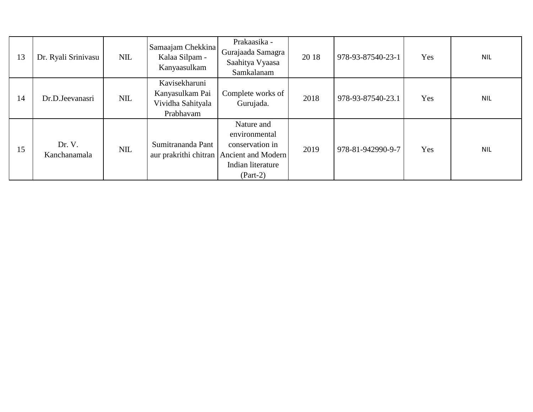| 13 | Dr. Ryali Srinivasu    | <b>NIL</b> | Samaajam Chekkina<br>Kalaa Silpam -<br>Kanyaasulkam                | Prakaasika -<br>Gurajaada Samagra<br>Saahitya Vyaasa<br>Samkalanam                                                            | 20 18 | 978-93-87540-23-1 | Yes | <b>NIL</b> |
|----|------------------------|------------|--------------------------------------------------------------------|-------------------------------------------------------------------------------------------------------------------------------|-------|-------------------|-----|------------|
| 14 | Dr.D.Jeevanasri        | NIL        | Kavisekharuni<br>Kanyasulkam Pai<br>Vividha Sahityala<br>Prabhavam | Complete works of<br>Gurujada.                                                                                                | 2018  | 978-93-87540-23.1 | Yes | <b>NIL</b> |
| 15 | Dr. V.<br>Kanchanamala | NIL        | Sumitrananda Pant                                                  | Nature and<br>environmental<br>conservation in<br>aur prakrithi chitran Ancient and Modern<br>Indian literature<br>$(Part-2)$ | 2019  | 978-81-942990-9-7 | Yes | <b>NIL</b> |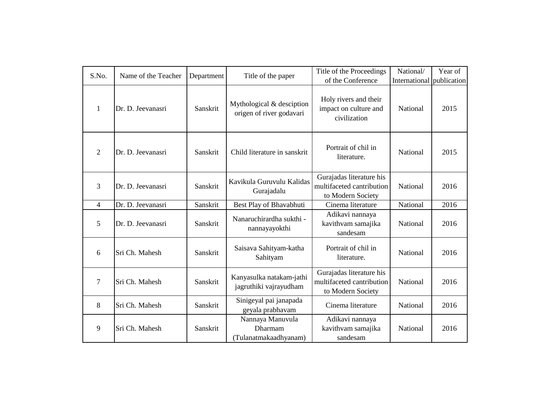| S.No.          | Name of the Teacher | Department | Title of the paper                                    | Title of the Proceedings<br>of the Conference                              | National/<br>International publication | Year of |
|----------------|---------------------|------------|-------------------------------------------------------|----------------------------------------------------------------------------|----------------------------------------|---------|
| $\mathbf{1}$   | Dr. D. Jeevanasri   | Sanskrit   | Mythological & desciption<br>origen of river godavari | Holy rivers and their<br>impact on culture and<br>civilization             | National                               | 2015    |
| $\overline{2}$ | Dr. D. Jeevanasri   | Sanskrit   | Child literature in sanskrit                          | Portrait of chil in<br>literature.                                         | National                               | 2015    |
| 3              | Dr. D. Jeevanasri   | Sanskrit   | Kavikula Guruvulu Kalidas<br>Gurajadalu               | Gurajadas literature his<br>multifaceted cantribution<br>to Modern Society | National                               | 2016    |
| $\overline{4}$ | Dr. D. Jeevanasri   | Sanskrit   | Best Play of Bhavabhuti                               | Cinema literature                                                          | National                               | 2016    |
| 5              | Dr. D. Jeevanasri   | Sanskrit   | Nanaruchirardha sukthi -<br>nannayayokthi             | Adikavi nannaya<br>kavithvam samajika<br>sandesam                          | National                               | 2016    |
| 6              | Sri Ch. Mahesh      | Sanskrit   | Saisava Sahityam-katha<br>Sahityam                    | Portrait of chil in<br>literature.                                         | National                               | 2016    |
| $\overline{7}$ | Sri Ch. Mahesh      | Sanskrit   | Kanyasulka natakam-jathi<br>jagruthiki vajrayudham    | Gurajadas literature his<br>multifaceted cantribution<br>to Modern Society | National                               | 2016    |
| 8              | Sri Ch. Mahesh      | Sanskrit   | Sinigeyal pai janapada<br>geyala prabhavam            | Cinema literature                                                          | National                               | 2016    |
| 9              | Sri Ch. Mahesh      | Sanskrit   | Nannaya Manuvula<br>Dharmam<br>(Tulanatmakaadhyanam)  | Adikavi nannaya<br>kavithvam samajika<br>sandesam                          | National                               | 2016    |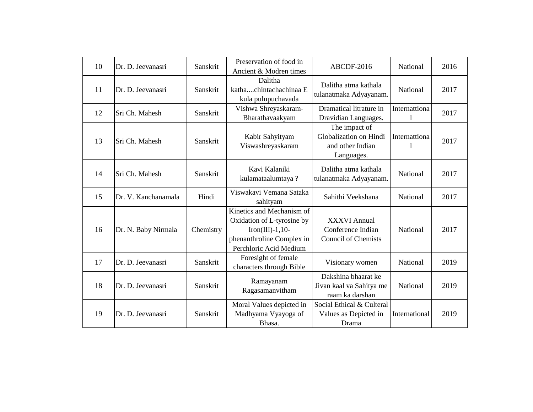| 10 | Dr. D. Jeevanasri                                                  | Sanskrit  | Preservation of food in<br>Ancient & Modren times                                                                                 | ABCDF-2016                                                             | National      | 2016 |
|----|--------------------------------------------------------------------|-----------|-----------------------------------------------------------------------------------------------------------------------------------|------------------------------------------------------------------------|---------------|------|
| 11 | Dr. D. Jeevanasri                                                  | Sanskrit  | Dalitha<br>kathachintachachinaa E<br>kula pulupuchavada                                                                           | Dalitha atma kathala<br>tulanatmaka Adyayanam.                         | National      | 2017 |
| 12 | Sri Ch. Mahesh                                                     | Sanskrit  | Vishwa Shreyaskaram-<br>Bharathavaakyam                                                                                           | Dramatical litrature in<br>Dravidian Languages.                        | Internattiona | 2017 |
| 13 | Kabir Sahyityam<br>Sri Ch. Mahesh<br>Sanskrit<br>Viswashreyaskaram |           | The impact of<br>Globalization on Hindi<br>and other Indian<br>Languages.                                                         | Internattiona                                                          | 2017          |      |
| 14 | Sri Ch. Mahesh                                                     | Sanskrit  | Kavi Kalaniki<br>kulamataalumtaya?                                                                                                | Dalitha atma kathala<br>tulanatmaka Adyayanam.                         | National      | 2017 |
| 15 | Dr. V. Kanchanamala                                                | Hindi     | Viswakavi Vemana Sataka<br>sahityam                                                                                               | Sahithi Veekshana                                                      | National      | 2017 |
| 16 | Dr. N. Baby Nirmala                                                | Chemistry | Kinetics and Mechanism of<br>Oxidation of L-tyrosine by<br>Iron(III)-1,10-<br>phenanthroline Complex in<br>Perchloric Acid Medium | <b>XXXVI Annual</b><br>Conference Indian<br><b>Council of Chemists</b> | National      | 2017 |
| 17 | Dr. D. Jeevanasri                                                  | Sanskrit  | Foresight of female<br>characters through Bible                                                                                   | Visionary women                                                        | National      | 2019 |
| 18 | Dr. D. Jeevanasri                                                  | Sanskrit  | Ramayanam<br>Ragasamanvitham                                                                                                      | Dakshina bhaarat ke<br>Jivan kaal va Sahitya me<br>raam ka darshan     | National      | 2019 |
| 19 | Dr. D. Jeevanasri                                                  | Sanskrit  | Moral Values depicted in<br>Madhyama Vyayoga of<br>Bhasa.                                                                         | Social Ethical & Culteral<br>Values as Depicted in<br>Drama            | International | 2019 |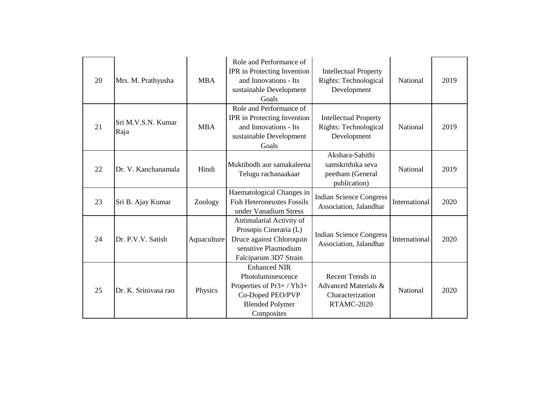| 20 | Mrs. M. Prathyusha         | <b>MBA</b>  | Role and Performance of<br>IPR in Protecting Invention<br>and Innovations - Its<br>sustainable Development<br>Goals             | <b>Intellectual Property</b><br>Rights: Technological<br>Development       | National      | 2019 |
|----|----------------------------|-------------|---------------------------------------------------------------------------------------------------------------------------------|----------------------------------------------------------------------------|---------------|------|
| 21 | Sri M.V.S.N. Kumar<br>Raja | <b>MBA</b>  | Role and Performance of<br>IPR in Protecting Invention<br>and Innovations - Its<br>sustainable Development<br>Goals             | <b>Intellectual Property</b><br>Rights: Technological<br>Development       | National      | 2019 |
| 22 | Dr. V. Kanchanamala        | Hindi       | Muktibodh aur samakaleena<br>Telugu rachanaakaar                                                                                | Akshara-Sahithi<br>samskrithika seva<br>peetham (General<br>publication)   | National      | 2019 |
| 23 | Sri B. Ajay Kumar          | Zoology     | Haematological Changes in<br><b>Fish Heteroneustes Fossils</b><br>under Vanadium Stress                                         | <b>Indian Science Congress</b><br>Association, Jalandhar                   | International | 2020 |
| 24 | Dr. P.V.V. Satish          | Aquaculture | Antimalarial Activity of<br>Prosopis Cineraria (L)<br>Druce against Chloroquin<br>sensitive Plasmodium<br>Falciparum 3D7 Strain | <b>Indian Science Congress</b><br>Association, Jalandhar                   | International | 2020 |
| 25 | Dr. K. Srinivasa rao       | Physics     | <b>Enhanced NIR</b><br>Photoluminescence<br>Properties of Pr3+/Yb3+<br>Co-Doped PEO/PVP<br><b>Blended Polymer</b><br>Composites | Recent Trends in<br>Advanced Materials &<br>Characterization<br>RTAMC-2020 | National      | 2020 |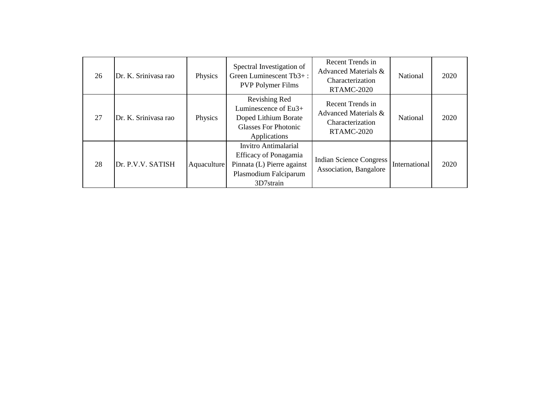| 26 | Dr. K. Srinivasa rao | Physics     | Spectral Investigation of<br>Green Luminescent Tb3+:<br><b>PVP Polymer Films</b>                                         | Recent Trends in<br>Advanced Materials &<br>Characterization<br>RTAMC-2020        | National      | 2020 |
|----|----------------------|-------------|--------------------------------------------------------------------------------------------------------------------------|-----------------------------------------------------------------------------------|---------------|------|
| 27 | Dr. K. Srinivasa rao | Physics     | Revishing Red<br>Luminescence of Eu3+<br>Doped Lithium Borate<br><b>Glasses For Photonic</b><br>Applications             | Recent Trends in<br>Advanced Materials &<br>Characterization<br><b>RTAMC-2020</b> | National      | 2020 |
| 28 | Dr. P.V.V. SATISH    | Aquaculture | <b>Invitro Antimalarial</b><br>Efficacy of Ponagamia<br>Pinnata (L) Pierre against<br>Plasmodium Falciparum<br>3D7strain | <b>Indian Science Congress</b><br>Association, Bangalore                          | International | 2020 |